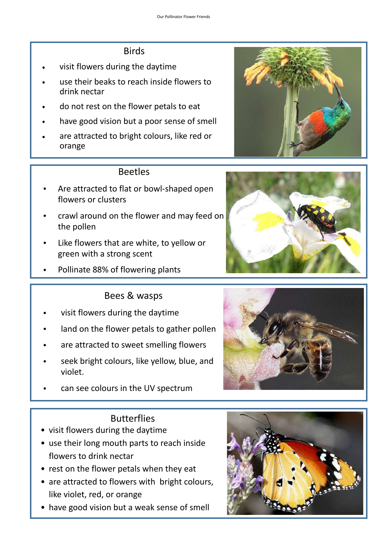## Birds

- visit flowers during the daytime
- use their beaks to reach inside flowers to drink nectar
- do not rest on the flower petals to eat
- have good vision but a poor sense of smell
- are attracted to bright colours, like red or orange

## Beetles

- Are attracted to flat or bowl-shaped open flowers or clusters
- crawl around on the flower and may feed on the pollen
- Like flowers that are white, to yellow or green with a strong scent
- Pollinate 88% of flowering plants

## Bees & wasps

- visit flowers during the daytime
- land on the flower petals to gather pollen
- are attracted to sweet smelling flowers
- seek bright colours, like yellow, blue, and violet.
- can see colours in the UV spectrum

# **Butterflies**

- visit flowers during the daytime
- use their long mouth parts to reach inside flowers to drink nectar
- rest on the flower petals when they eat
- are attracted to flowers with bright colours, like violet, red, or orange
- have good vision but a weak sense of smell